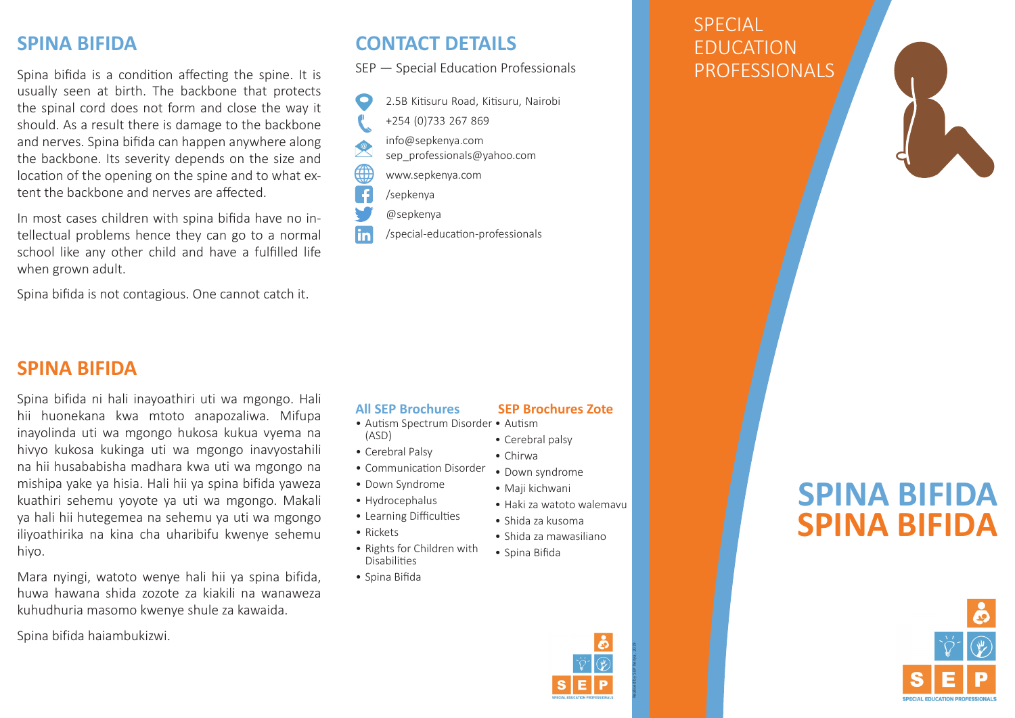# **SPINA BIFIDA**

Spina bifida is a condition affecting the spine. It is usually seen at birth. The backbone that protects the spinal cord does not form and close the way it should. As a result there is damage to the backbone and nerves. Spina bifida can happen anywhere along the backbone. Its severity depends on the size and location of the opening on the spine and to what extent the backbone and nerves are affected.

In most cases children with spina bifida have no intellectual problems hence they can go to a normal school like any other child and have a fulfilled life when grown adult.

Spina bifida is not contagious. One cannot catch it.

## **SPINA BIFIDA**

Spina bifida ni hali inayoathiri uti wa mgongo. Hali hii huonekana kwa mtoto anapozaliwa. Mifupa inayolinda uti wa mgongo hukosa kukua vyema na hivyo kukosa kukinga uti wa mgongo inavyostahili na hii husababisha madhara kwa uti wa mgongo na mishipa yake ya hisia. Hali hii ya spina bifida yaweza kuathiri sehemu yoyote ya uti wa mgongo. Makali ya hali hii hutegemea na sehemu ya uti wa mgongo iliyoathirika na kina cha uharibifu kwenye sehemu hiyo.

Mara nyingi, watoto wenye hali hii ya spina bifida, huwa hawana shida zozote za kiakili na wanaweza kuhudhuria masomo kwenye shule za kawaida.

Spina bifida haiambukizwi.

# **CONTACT DETAILS**

SEP — Special Education Professionals



**lin** /special-education-professionals

#### **All SEP Brochures**

- Autism Spectrum Disorder Autism (ASD)
- Cerebral Palsy
- Communication Disorder
- Down Syndrome
- Hydrocephalus
- Learning Difficulties
- Rickets
- Rights for Children with Disabilities
- Spina Bifida

#### • Down syndrome

 **SEP Brochures Zote**

• Maji kichwani

• Cerebral palsy • Chirwa

- Haki za watoto walemavu
- Shida za kusoma
- Shida za mawasiliano
- Spina Bifida
	-

Realised by SEP Kenya, 2019

# **SPECIAL** EDUCATION PROFESSIONALS